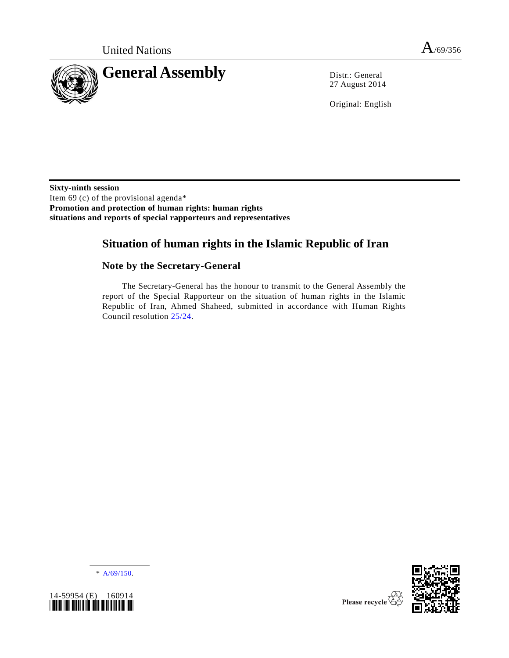

27 August 2014

Original: English

**Sixty-ninth session** Item 69 (c) of the provisional agenda\* **Promotion and protection of human rights: human rights situations and reports of special rapporteurs and representatives**

# **Situation of human rights in the Islamic Republic of Iran**

# **Note by the Secretary-General**

The Secretary-General has the honour to transmit to the General Assembly the report of the Special Rapporteur on the situation of human rights in the Islamic Republic of Iran, Ahmed Shaheed, submitted in accordance with Human Rights Council resolution [25/24.](http://undocs.org/A/RES/25/24)

\* [A/69/150.](http://undocs.org/A/69/150)





Please recycle  $\overline{\overline{\overline{X}}}$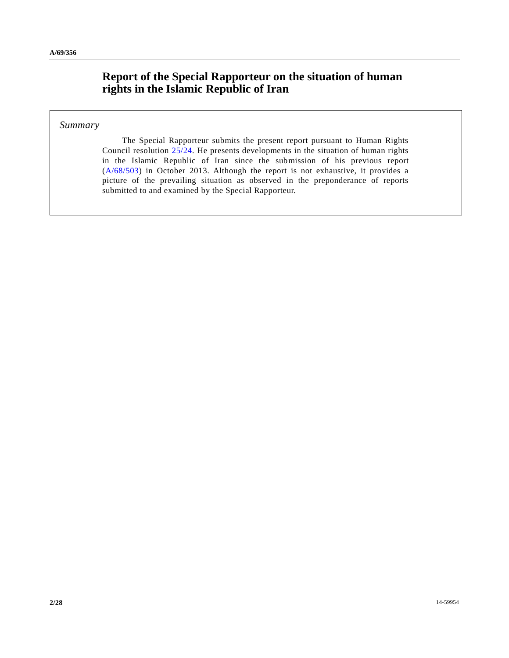# **Report of the Special Rapporteur on the situation of human rights in the Islamic Republic of Iran**

### *Summary*

The Special Rapporteur submits the present report pursuant to Human Rights Council resolution [25/24.](http://undocs.org/A/RES/25/24) He presents developments in the situation of human rights in the Islamic Republic of Iran since the submission of his previous report [\(A/68/503\)](http://undocs.org/A/68/503) in October 2013. Although the report is not exhaustive, it provides a picture of the prevailing situation as observed in the preponderance of reports submitted to and examined by the Special Rapporteur.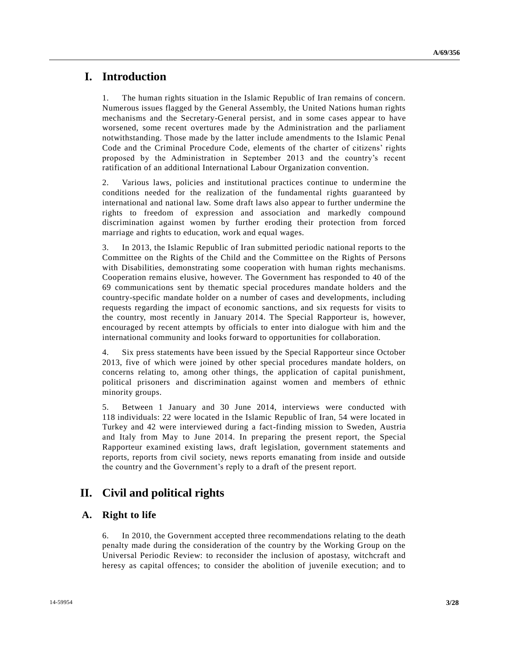# **I. Introduction**

1. The human rights situation in the Islamic Republic of Iran remains of concern. Numerous issues flagged by the General Assembly, the United Nations human rights mechanisms and the Secretary-General persist, and in some cases appear to have worsened, some recent overtures made by the Administration and the parliament notwithstanding. Those made by the latter include amendments to the Islamic Penal Code and the Criminal Procedure Code, elements of the charter of citizens' rights proposed by the Administration in September 2013 and the country's recent ratification of an additional International Labour Organization convention.

2. Various laws, policies and institutional practices continue to undermine the conditions needed for the realization of the fundamental rights guaranteed by international and national law. Some draft laws also appear to further undermine the rights to freedom of expression and association and markedly compound discrimination against women by further eroding their protection from forced marriage and rights to education, work and equal wages.

3. In 2013, the Islamic Republic of Iran submitted periodic national reports to the Committee on the Rights of the Child and the Committee on the Rights of Persons with Disabilities, demonstrating some cooperation with human rights mechanisms. Cooperation remains elusive, however. The Government has responded to 40 of the 69 communications sent by thematic special procedures mandate holders and the country-specific mandate holder on a number of cases and developments, including requests regarding the impact of economic sanctions, and six requests for visits to the country, most recently in January 2014. The Special Rapporteur is, however, encouraged by recent attempts by officials to enter into dialogue with him and the international community and looks forward to opportunities for collaboration.

4. Six press statements have been issued by the Special Rapporteur since October 2013, five of which were joined by other special procedures mandate holders, on concerns relating to, among other things, the application of capital punishment, political prisoners and discrimination against women and members of ethnic minority groups.

5. Between 1 January and 30 June 2014, interviews were conducted with 118 individuals: 22 were located in the Islamic Republic of Iran, 54 were located in Turkey and 42 were interviewed during a fact-finding mission to Sweden, Austria and Italy from May to June 2014. In preparing the present report, the Special Rapporteur examined existing laws, draft legislation, government statements and reports, reports from civil society, news reports emanating from inside and outside the country and the Government's reply to a draft of the present report.

# **II. Civil and political rights**

### **A. Right to life**

6. In 2010, the Government accepted three recommendations relating to the death penalty made during the consideration of the country by the Working Group on the Universal Periodic Review: to reconsider the inclusion of apostasy, witchcraft and heresy as capital offences; to consider the abolition of juvenile execution; and to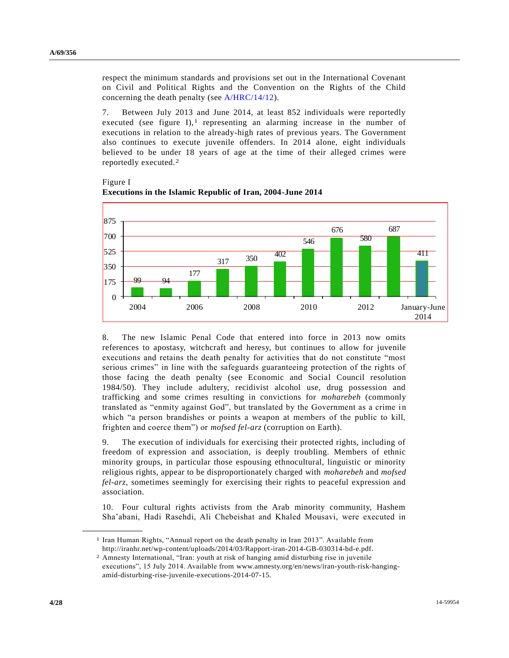respect the minimum standards and provisions set out in the International Covenant on Civil and Political Rights and the Convention on the Rights of the Child concerning the death penalty (see [A/HRC/14/12\)](http://undocs.org/A/HRC/14/12).

7. Between July 2013 and June 2014, at least 852 individuals were reportedly executed (see figure I),<sup>1</sup> representing an alarming increase in the number of executions in relation to the already-high rates of previous years. The Government also continues to execute juvenile offenders. In 2014 alone, eight individuals believed to be under 18 years of age at the time of their alleged crimes were reportedly executed.2



Figure I **Executions in the Islamic Republic of Iran, 2004-June 2014**

8. The new Islamic Penal Code that entered into force in 2013 now omits references to apostasy, witchcraft and heresy, but continues to allow for juvenile executions and retains the death penalty for activities that do not constitute "most serious crimes" in line with the safeguards guaranteeing protection of the rights of those facing the death penalty (see Economic and Social Council resolution 1984/50). They include adultery, recidivist alcohol use, drug possession and trafficking and some crimes resulting in convictions for *moharebeh* (commonly translated as "enmity against God", but translated by the Government as a crime i n which "a person brandishes or points a weapon at members of the public to kill, frighten and coerce them") or *mofsed fel-arz* (corruption on Earth).

9. The execution of individuals for exercising their protected rights, including of freedom of expression and association, is deeply troubling. Members of ethnic minority groups, in particular those espousing ethnocultural, linguistic or minority religious rights, appear to be disproportionately charged with *moharebeh* and *mofsed fel-arz*, sometimes seemingly for exercising their rights to peaceful expression and association.

10. Four cultural rights activists from the Arab minority community, Hashem Sha'abani, Hadi Rasehdi, Ali Chebeishat and Khaled Mousavi, were executed in

<sup>&</sup>lt;sup>1</sup> Iran Human Rights, "Annual report on the death penalty in Iran 2013". Available from http://iranhr.net/wp-content/uploads/2014/03/Rapport-iran-2014-GB-030314-bd-e.pdf.

<sup>2</sup> Amnesty International, "Iran: youth at risk of hanging amid disturbing rise in juvenile executions", 15 July 2014. Available from www.amnesty.org/en/news/iran-youth-risk-hangingamid-disturbing-rise-juvenile-executions-2014-07-15.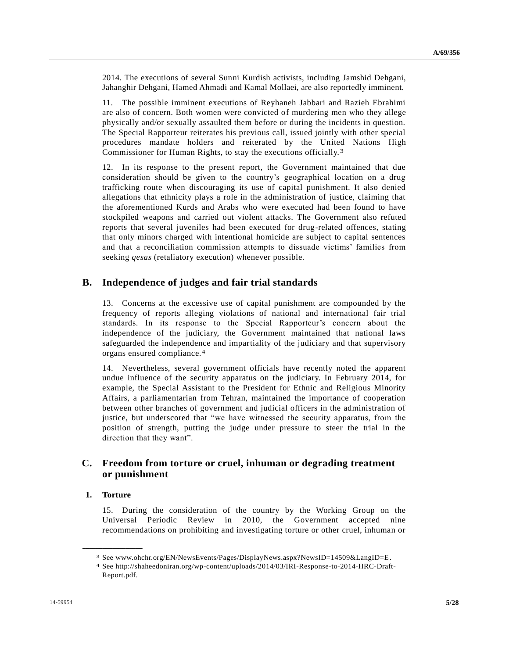2014. The executions of several Sunni Kurdish activists, including Jamshid Dehgani, Jahanghir Dehgani, Hamed Ahmadi and Kamal Mollaei, are also reportedly imminent.

11. The possible imminent executions of Reyhaneh Jabbari and Razieh Ebrahimi are also of concern. Both women were convicted of murdering men who they allege physically and/or sexually assaulted them before or during the incidents in question. The Special Rapporteur reiterates his previous call, issued jointly with other special procedures mandate holders and reiterated by the United Nations High Commissioner for Human Rights, to stay the executions officially. 3

12. In its response to the present report, the Government maintained that due consideration should be given to the country's geographical location on a drug trafficking route when discouraging its use of capital punishment. It also denied allegations that ethnicity plays a role in the administration of justice, claiming that the aforementioned Kurds and Arabs who were executed had been found to have stockpiled weapons and carried out violent attacks. The Government also refuted reports that several juveniles had been executed for drug-related offences, stating that only minors charged with intentional homicide are subject to capital sentences and that a reconciliation commission attempts to dissuade victims' families from seeking *qesas* (retaliatory execution) whenever possible.

### **B. Independence of judges and fair trial standards**

13. Concerns at the excessive use of capital punishment are compounded by the frequency of reports alleging violations of national and international fair trial standards. In its response to the Special Rapporteur's concern about the independence of the judiciary, the Government maintained that national laws safeguarded the independence and impartiality of the judiciary and that supervisory organs ensured compliance.4

14. Nevertheless, several government officials have recently noted the apparent undue influence of the security apparatus on the judiciary. In February 2014, for example, the Special Assistant to the President for Ethnic and Religious Minority Affairs, a parliamentarian from Tehran, maintained the importance of cooperation between other branches of government and judicial officers in the administration of justice, but underscored that "we have witnessed the security apparatus, from the position of strength, putting the judge under pressure to steer the trial in the direction that they want".

## **C. Freedom from torture or cruel, inhuman or degrading treatment or punishment**

### **1. Torture**

**\_\_\_\_\_\_\_\_\_\_\_\_\_\_\_\_\_\_**

15. During the consideration of the country by the Working Group on the Universal Periodic Review in 2010, the Government accepted nine recommendations on prohibiting and investigating torture or other cruel, inhuman or

<sup>3</sup> See www.ohchr.org/EN/NewsEvents/Pages/DisplayNews.aspx?NewsID=14509&LangID=E.

<sup>4</sup> See http://shaheedoniran.org/wp-content/uploads/2014/03/IRI-Response-to-2014-HRC-Draft-Report.pdf.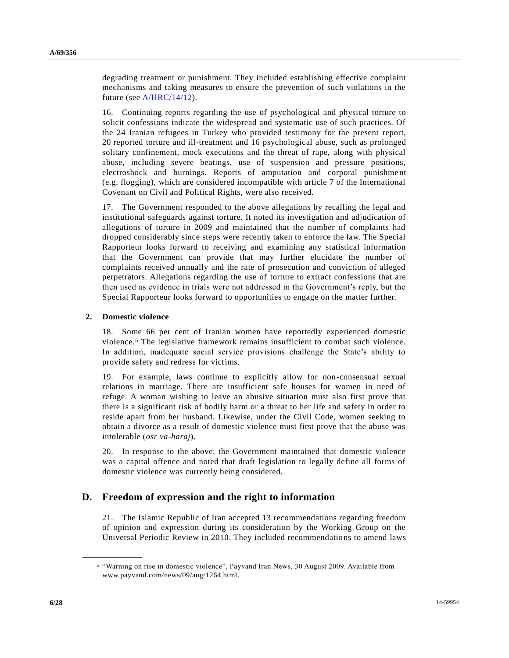degrading treatment or punishment. They included establishing effective complaint mechanisms and taking measures to ensure the prevention of such violations in the future (see [A/HRC/14/12\)](http://undocs.org/A/HRC/14/12).

16. Continuing reports regarding the use of psychological and physical torture to solicit confessions indicate the widespread and systematic use of such practices. Of the 24 Iranian refugees in Turkey who provided testimony for the present report, 20 reported torture and ill-treatment and 16 psychological abuse, such as prolonged solitary confinement, mock executions and the threat of rape, along with physical abuse, including severe beatings, use of suspension and pressure positions, electroshock and burnings. Reports of amputation and corporal punishme nt (e.g. flogging), which are considered incompatible with article 7 of the International Covenant on Civil and Political Rights, were also received.

17. The Government responded to the above allegations by recalling the legal and institutional safeguards against torture. It noted its investigation and adjudication of allegations of torture in 2009 and maintained that the number of complaints had dropped considerably since steps were recently taken to enforce the law. The Special Rapporteur looks forward to receiving and examining any statistical information that the Government can provide that may further elucidate the number of complaints received annually and the rate of prosecution and conviction of alleged perpetrators. Allegations regarding the use of torture to extract confessions that are then used as evidence in trials were not addressed in the Government's reply, but the Special Rapporteur looks forward to opportunities to engage on the matter further.

#### **2. Domestic violence**

**\_\_\_\_\_\_\_\_\_\_\_\_\_\_\_\_\_\_**

18. Some 66 per cent of Iranian women have reportedly experienced domestic violence.5 The legislative framework remains insufficient to combat such violence. In addition, inadequate social service provisions challenge the State's ability to provide safety and redress for victims.

19. For example, laws continue to explicitly allow for non-consensual sexual relations in marriage. There are insufficient safe houses for women in need of refuge. A woman wishing to leave an abusive situation must also first prove that there is a significant risk of bodily harm or a threat to her life and safety in order to reside apart from her husband. Likewise, under the Civil Code, women seeking to obtain a divorce as a result of domestic violence must first prove that the abuse was intolerable (*osr va-haraj*).

20. In response to the above, the Government maintained that domestic violence was a capital offence and noted that draft legislation to legally define all forms of domestic violence was currently being considered.

### **D. Freedom of expression and the right to information**

21. The Islamic Republic of Iran accepted 13 recommendations regarding freedom of opinion and expression during its consideration by the Working Group on the Universal Periodic Review in 2010. They included recommendations to amend laws

<sup>5</sup> "Warning on rise in domestic violence", Payvand Iran News, 30 August 2009. Available from www.payvand.com/news/09/aug/1264.html.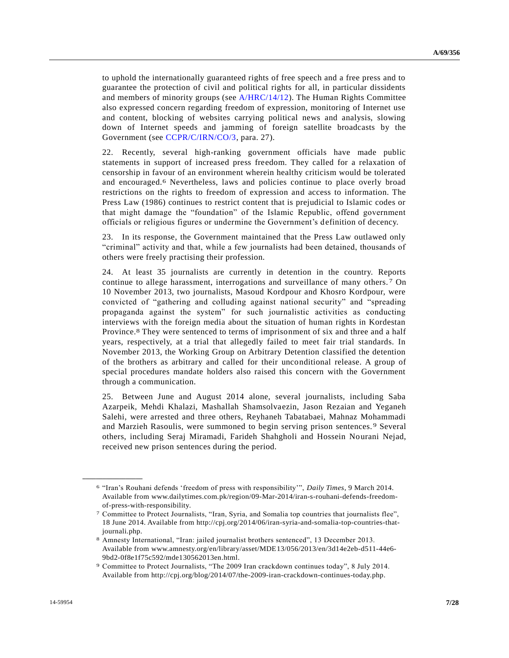to uphold the internationally guaranteed rights of free speech and a free press and to guarantee the protection of civil and political rights for all, in particular dissidents and members of minority groups (see [A/HRC/14/12\)](http://undocs.org/A/HRC/14/12). The Human Rights Committee also expressed concern regarding freedom of expression, monitoring of Internet use and content, blocking of websites carrying political news and analysis, slowing down of Internet speeds and jamming of foreign satellite broadcasts by the Government (see [CCPR/C/IRN/CO/3,](http://undocs.org/CCPR/C/IRN/CO/3) para. 27).

22. Recently, several high-ranking government officials have made public statements in support of increased press freedom. They called for a relaxation of censorship in favour of an environment wherein healthy criticism would be tolerated and encouraged.6 Nevertheless, laws and policies continue to place overly broad restrictions on the rights to freedom of expression and access to information. The Press Law (1986) continues to restrict content that is prejudicial to Islamic codes or that might damage the "foundation" of the Islamic Republic, offend government officials or religious figures or undermine the Government's definition of decency.

23. In its response, the Government maintained that the Press Law outlawed only "criminal" activity and that, while a few journalists had been detained, thousands of others were freely practising their profession.

24. At least 35 journalists are currently in detention in the country. Reports continue to allege harassment, interrogations and surveillance of many others. 7 On 10 November 2013, two journalists, Masoud Kordpour and Khosro Kordpour, were convicted of "gathering and colluding against national security" and "spreading propaganda against the system" for such journalistic activities as conducting interviews with the foreign media about the situation of human rights in Kordestan Province.8 They were sentenced to terms of imprisonment of six and three and a half years, respectively, at a trial that allegedly failed to meet fair trial standards. In November 2013, the Working Group on Arbitrary Detention classified the detention of the brothers as arbitrary and called for their unconditional release. A group of special procedures mandate holders also raised this concern with the Government through a communication.

25. Between June and August 2014 alone, several journalists, including Saba Azarpeik, Mehdi Khalazi, Mashallah Shamsolvaezin, Jason Rezaian and Yeganeh Salehi, were arrested and three others, Reyhaneh Tabatabaei, Mahnaz Mohammadi and Marzieh Rasoulis, were summoned to begin serving prison sentences. 9 Several others, including Seraj Miramadi, Farideh Shahgholi and Hossein Nourani Nejad, received new prison sentences during the period.

<sup>6</sup> "Iran's Rouhani defends 'freedom of press with responsibility'", *Daily Times*, 9 March 2014. Available from www.dailytimes.com.pk/region/09-Mar-2014/iran-s-rouhani-defends-freedomof-press-with-responsibility.

<sup>7</sup> Committee to Protect Journalists, "Iran, Syria, and Somalia top countries that journalists flee", 18 June 2014. Available from http://cpj.org/2014/06/iran-syria-and-somalia-top-countries-thatjournali.php.

<sup>8</sup> Amnesty International, "Iran: jailed journalist brothers sentenced", 13 December 2013. Available from www.amnesty.org/en/library/asset/MDE13/056/2013/en/3d14e2eb-d511-44e6- 9bd2-0f8e1f75c592/mde130562013en.html.

<sup>9</sup> Committee to Protect Journalists, "The 2009 Iran crackdown continues today", 8 July 2014. Available from http://cpj.org/blog/2014/07/the-2009-iran-crackdown-continues-today.php.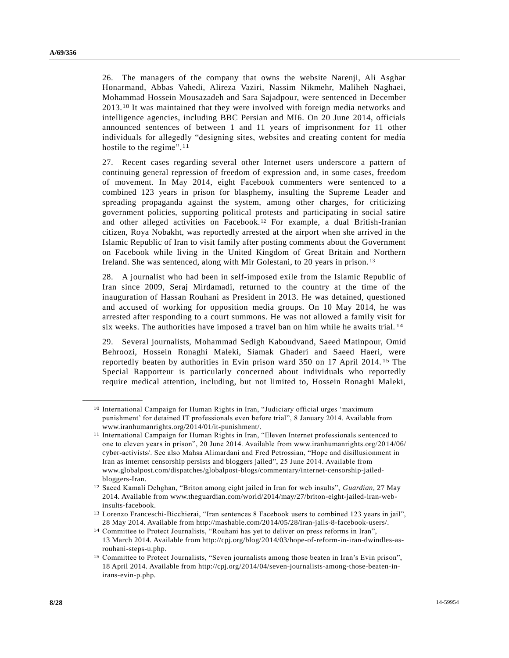26. The managers of the company that owns the website Narenji, Ali Asghar Honarmand, Abbas Vahedi, Alireza Vaziri, Nassim Nikmehr, Maliheh Naghaei, Mohammad Hossein Mousazadeh and Sara Sajadpour, were sentenced in December 2013.10 It was maintained that they were involved with foreign media networks and intelligence agencies, including BBC Persian and MI6. On 20 June 2014, officials announced sentences of between 1 and 11 years of imprisonment for 11 other individuals for allegedly "designing sites, websites and creating content for media hostile to the regime".<sup>11</sup>

27. Recent cases regarding several other Internet users underscore a pattern of continuing general repression of freedom of expression and, in some cases, freedom of movement. In May 2014, eight Facebook commenters were sentenced to a combined 123 years in prison for blasphemy, insulting the Supreme Leader and spreading propaganda against the system, among other charges, for criticizing government policies, supporting political protests and participating in social satire and other alleged activities on Facebook.<sup>12</sup> For example, a dual British-Iranian citizen, Roya Nobakht, was reportedly arrested at the airport when she arrived in the Islamic Republic of Iran to visit family after posting comments about the Government on Facebook while living in the United Kingdom of Great Britain and Northern Ireland. She was sentenced, along with Mir Golestani, to 20 years in prison. <sup>13</sup>

28. A journalist who had been in self-imposed exile from the Islamic Republic of Iran since 2009, Seraj Mirdamadi, returned to the country at the time of the inauguration of Hassan Rouhani as President in 2013. He was detained, questioned and accused of working for opposition media groups. On 10 May 2014, he was arrested after responding to a court summons. He was not allowed a family visit for six weeks. The authorities have imposed a travel ban on him while he awaits trial. 14

29. Several journalists, Mohammad Sedigh Kaboudvand, Saeed Matinpour, Omid Behroozi, Hossein Ronaghi Maleki, Siamak Ghaderi and Saeed Haeri, were reportedly beaten by authorities in Evin prison ward 350 on 17 April 2014. 15 The Special Rapporteur is particularly concerned about individuals who reportedly require medical attention, including, but not limited to, Hossein Ronaghi Maleki,

<sup>10</sup> International Campaign for Human Rights in Iran, "Judiciary official urges 'maximum punishment' for detained IT professionals even before trial", 8 January 2014. Available from www.iranhumanrights.org/2014/01/it-punishment/.

<sup>11</sup> International Campaign for Human Rights in Iran, "Eleven Internet professionals s entenced to one to eleven years in prison", 20 June 2014. Available from www.iranhumanrights.org/2014/06/ cyber-activists/. See also Mahsa Alimardani and Fred Petrossian, "Hope and disillusionment in Iran as internet censorship persists and bloggers jailed", 25 June 2014. Available from www.globalpost.com/dispatches/globalpost-blogs/commentary/internet-censorship-jailedbloggers-Iran.

<sup>12</sup> Saeed Kamali Dehghan, "Briton among eight jailed in Iran for web insults", *Guardian*, 27 May 2014. Available from www.theguardian.com/world/2014/may/27/briton-eight-jailed-iran-webinsults-facebook.

<sup>13</sup> Lorenzo Franceschi-Bicchierai, "Iran sentences 8 Facebook users to combined 123 years in jail", 28 May 2014. Available from http://mashable.com/2014/05/28/iran-jails-8-facebook-users/.

<sup>14</sup> Committee to Protect Journalists, "Rouhani has yet to deliver on press reforms in Iran", 13 March 2014. Available from http://cpj.org/blog/2014/03/hope-of-reform-in-iran-dwindles-asrouhani-steps-u.php.

<sup>15</sup> Committee to Protect Journalists, "Seven journalists among those beaten in Iran's Evin prison", 18 April 2014. Available from http://cpj.org/2014/04/seven-journalists-among-those-beaten-inirans-evin-p.php.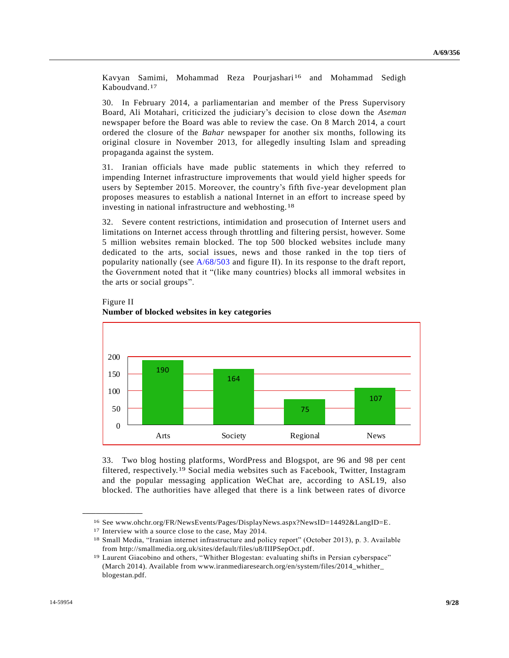Kavyan Samimi, Mohammad Reza Pourjashari<sup>16</sup> and Mohammad Sedigh Kaboudvand.17

30. In February 2014, a parliamentarian and member of the Press Supervisory Board, Ali Motahari, criticized the judiciary's decision to close down the *Aseman* newspaper before the Board was able to review the case. On 8 March 2014, a court ordered the closure of the *Bahar* newspaper for another six months, following its original closure in November 2013, for allegedly insulting Islam and spreading propaganda against the system.

31. Iranian officials have made public statements in which they referred to impending Internet infrastructure improvements that would yield higher speeds for users by September 2015. Moreover, the country's fifth five-year development plan proposes measures to establish a national Internet in an effort to increase speed by investing in national infrastructure and webhosting.18

32. Severe content restrictions, intimidation and prosecution of Internet users and limitations on Internet access through throttling and filtering persist, however. Some 5 million websites remain blocked. The top 500 blocked websites include many dedicated to the arts, social issues, news and those ranked in the top tiers of popularity nationally (see [A/68/503](http://undocs.org/A/68/503) and figure II). In its response to the draft report, the Government noted that it "(like many countries) blocks all immoral websites in the arts or social groups".



#### Figure II **Number of blocked websites in key categories**

33. Two blog hosting platforms, WordPress and Blogspot, are 96 and 98 per cent filtered, respectively.19 Social media websites such as Facebook, Twitter, Instagram and the popular messaging application WeChat are, according to ASL19, also blocked. The authorities have alleged that there is a link between rates of divorce

<sup>16</sup> See www.ohchr.org/FR/NewsEvents/Pages/DisplayNews.aspx?NewsID=14492&LangID=E.

<sup>17</sup> Interview with a source close to the case, May 2014.

<sup>18</sup> Small Media, "Iranian internet infrastructure and policy report" (October 2013), p. 3. Available from http://smallmedia.org.uk/sites/default/files/u8/IIIPSepOct.pdf.

<sup>19</sup> Laurent Giacobino and others, "Whither Blogestan: evaluating shifts in Persian cyberspace" (March 2014). Available from www.iranmediaresearch.org/en/system/files/2014\_whither\_ blogestan.pdf.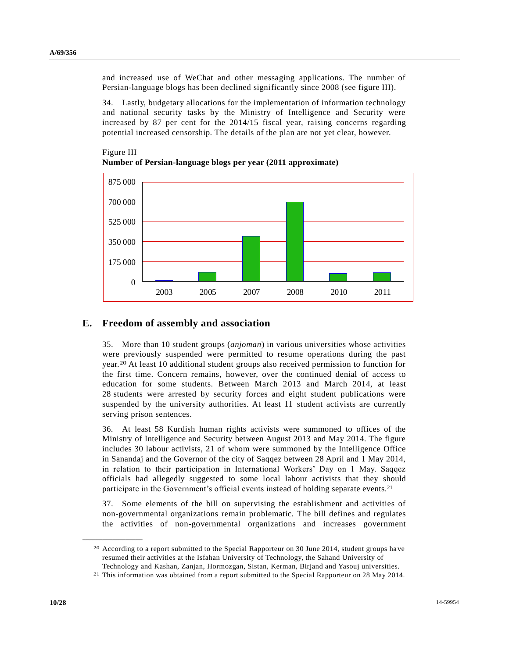and increased use of WeChat and other messaging applications. The number of Persian-language blogs has been declined significantly since 2008 (see figure III).

34. Lastly, budgetary allocations for the implementation of information technology and national security tasks by the Ministry of Intelligence and Security were increased by 87 per cent for the 2014/15 fiscal year, raising concerns regarding potential increased censorship. The details of the plan are not yet clear, however.



Figure III **Number of Persian-language blogs per year (2011 approximate)**

### **E. Freedom of assembly and association**

35. More than 10 student groups (*anjoman*) in various universities whose activities were previously suspended were permitted to resume operations during the past year.20 At least 10 additional student groups also received permission to function for the first time. Concern remains, however, over the continued denial of access to education for some students. Between March 2013 and March 2014, at least 28 students were arrested by security forces and eight student publications were suspended by the university authorities. At least 11 student activists are currently serving prison sentences.

36. At least 58 Kurdish human rights activists were summoned to offices of the Ministry of Intelligence and Security between August 2013 and May 2014. The figure includes 30 labour activists, 21 of whom were summoned by the Intelligence Office in Sanandaj and the Governor of the city of Saqqez between 28 April and 1 May 2014, in relation to their participation in International Workers' Day on 1 May. Saqqez officials had allegedly suggested to some local labour activists that they should participate in the Government's official events instead of holding separate events.<sup>21</sup>

37. Some elements of the bill on supervising the establishment and activities of non-governmental organizations remain problematic. The bill defines and regulates the activities of non-governmental organizations and increases government

<sup>20</sup> According to a report submitted to the Special Rapporteur on 30 June 2014, student groups ha ve resumed their activities at the Isfahan University of Technology, the Sahand University of Technology and Kashan, Zanjan, Hormozgan, Sistan, Kerman, Birjand and Yasouj universities.

<sup>21</sup> This information was obtained from a report submitted to the Special Rapporteur on 28 May 2014.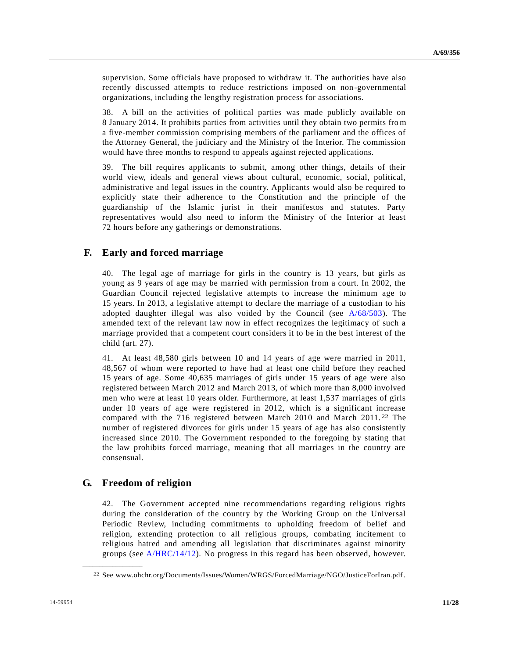supervision. Some officials have proposed to withdraw it. The authorities have also recently discussed attempts to reduce restrictions imposed on non-governmental organizations, including the lengthy registration process for associations.

38. A bill on the activities of political parties was made publicly available on 8 January 2014. It prohibits parties from activities until they obtain two permits fro m a five-member commission comprising members of the parliament and the offices of the Attorney General, the judiciary and the Ministry of the Interior. The commission would have three months to respond to appeals against rejected applications.

39. The bill requires applicants to submit, among other things, details of their world view, ideals and general views about cultural, economic, social, political, administrative and legal issues in the country. Applicants would also be required to explicitly state their adherence to the Constitution and the principle of the guardianship of the Islamic jurist in their manifestos and statutes. Party representatives would also need to inform the Ministry of the Interior at least 72 hours before any gatherings or demonstrations.

### **F. Early and forced marriage**

40. The legal age of marriage for girls in the country is 13 years, but girls as young as 9 years of age may be married with permission from a court. In 2002, the Guardian Council rejected legislative attempts to increase the minimum age to 15 years. In 2013, a legislative attempt to declare the marriage of a custodian to his adopted daughter illegal was also voided by the Council (see [A/68/503\)](http://undocs.org/A/68/503). The amended text of the relevant law now in effect recognizes the legitimacy of such a marriage provided that a competent court considers it to be in the best interest of the child (art. 27).

41. At least 48,580 girls between 10 and 14 years of age were married in 2011, 48,567 of whom were reported to have had at least one child before they reached 15 years of age. Some 40,635 marriages of girls under 15 years of age were also registered between March 2012 and March 2013, of which more than 8,000 involved men who were at least 10 years older. Furthermore, at least 1,537 marriages of girls under 10 years of age were registered in 2012, which is a significant increase compared with the 716 registered between March 2010 and March 2011. 22 The number of registered divorces for girls under 15 years of age has also consistently increased since 2010. The Government responded to the foregoing by stating that the law prohibits forced marriage, meaning that all marriages in the country are consensual.

### **G. Freedom of religion**

**\_\_\_\_\_\_\_\_\_\_\_\_\_\_\_\_\_\_**

42. The Government accepted nine recommendations regarding religious rights during the consideration of the country by the Working Group on the Universal Periodic Review, including commitments to upholding freedom of belief and religion, extending protection to all religious groups, combating incitement to religious hatred and amending all legislation that discriminates against minority groups (see [A/HRC/14/12\)](http://undocs.org/A/HRC/14/12). No progress in this regard has been observed, however.

<sup>22</sup> See www.ohchr.org/Documents/Issues/Women/WRGS/ForcedMarriage/NGO/JusticeForIran.pdf.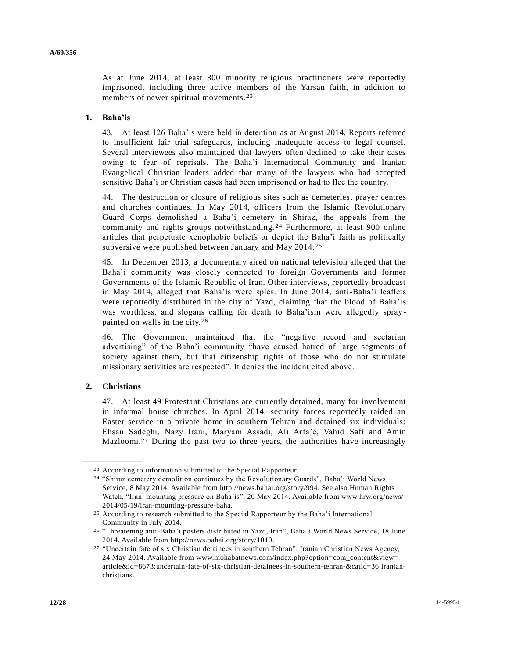As at June 2014, at least 300 minority religious practitioners were reportedly imprisoned, including three active members of the Yarsan faith, in addition to members of newer spiritual movements.23

#### **1. Baha'is**

43. At least 126 Baha'is were held in detention as at August 2014. Reports referred to insufficient fair trial safeguards, including inadequate access to legal counsel. Several interviewees also maintained that lawyers often declined to take their cases owing to fear of reprisals. The Baha'i International Community and Iranian Evangelical Christian leaders added that many of the lawyers who had accepted sensitive Baha'i or Christian cases had been imprisoned or had to flee the country.

44. The destruction or closure of religious sites such as cemeteries, prayer centres and churches continues. In May 2014, officers from the Islamic Revolutionary Guard Corps demolished a Baha'i cemetery in Shiraz, the appeals from the community and rights groups notwithstanding.24 Furthermore, at least 900 online articles that perpetuate xenophobic beliefs or depict the Baha'i faith as politically subversive were published between January and May 2014. 25

45. In December 2013, a documentary aired on national television alleged that the Baha'i community was closely connected to foreign Governments and former Governments of the Islamic Republic of Iran. Other interviews, reportedly broadcast in May 2014, alleged that Baha'is were spies. In June 2014, anti-Baha'i leaflets were reportedly distributed in the city of Yazd, claiming that the blood of Baha'is was worthless, and slogans calling for death to Baha'ism were allegedly spraypainted on walls in the city.26

46. The Government maintained that the "negative record and sectarian advertising" of the Baha'i community "have caused hatred of large segments of society against them, but that citizenship rights of those who do not stimulate missionary activities are respected". It denies the incident cited above.

#### **2. Christians**

**\_\_\_\_\_\_\_\_\_\_\_\_\_\_\_\_\_\_**

47. At least 49 Protestant Christians are currently detained, many for involvement in informal house churches. In April 2014, security forces reportedly raided an Easter service in a private home in southern Tehran and detained six individuals: Ehsan Sadeghi, Nazy Irani, Maryam Assadi, Ali Arfa'e, Vahid Safi and Amin Mazloomi.27 During the past two to three years, the authorities have increasingly

<sup>23</sup> According to information submitted to the Special Rapporteur.

<sup>24</sup> "Shiraz cemetery demolition continues by the Revolutionary Guards", Baha'i World News Service, 8 May 2014. Available from http://news.bahai.org/story/994. See also Human Rights Watch, "Iran: mounting pressure on Baha'is", 20 May 2014. Available from www.hrw.org/news/ 2014/05/19/iran-mounting-pressure-baha.

<sup>25</sup> According to research submitted to the Special Rapporteur by the Baha'i International Community in July 2014.

<sup>26</sup> "Threatening anti-Baha'i posters distributed in Yazd, Iran", Baha'i World News Service, 18 June 2014. Available from http://news.bahai.org/story/1010.

<sup>27</sup> "Uncertain fate of six Christian detainees in southern Tehran", Iranian Christian News Agency, 24 May 2014. Available from www.mohabatnews.com/index.php?option=com\_content&view= article&id=8673:uncertain-fate-of-six-christian-detainees-in-southern-tehran-&catid=36:iranianchristians.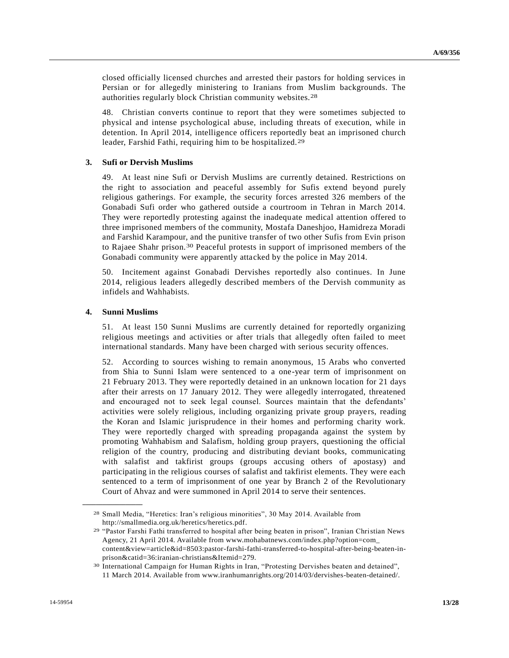closed officially licensed churches and arrested their pastors for holding services in Persian or for allegedly ministering to Iranians from Muslim backgrounds. The authorities regularly block Christian community websites.28

48. Christian converts continue to report that they were sometimes subjected to physical and intense psychological abuse, including threats of execution, while in detention. In April 2014, intelligence officers reportedly beat an imprisoned church leader, Farshid Fathi, requiring him to be hospitalized.29

#### **3. Sufi or Dervish Muslims**

49. At least nine Sufi or Dervish Muslims are currently detained. Restrictions on the right to association and peaceful assembly for Sufis extend beyond purely religious gatherings. For example, the security forces arrested 326 members of the Gonabadi Sufi order who gathered outside a courtroom in Tehran in March 2014. They were reportedly protesting against the inadequate medical attention offered to three imprisoned members of the community, Mostafa Daneshjoo, Hamidreza Moradi and Farshid Karampour, and the punitive transfer of two other Sufis from Evin prison to Rajaee Shahr prison.30 Peaceful protests in support of imprisoned members of the Gonabadi community were apparently attacked by the police in May 2014.

50. Incitement against Gonabadi Dervishes reportedly also continues. In June 2014, religious leaders allegedly described members of the Dervish community as infidels and Wahhabists.

#### **4. Sunni Muslims**

**\_\_\_\_\_\_\_\_\_\_\_\_\_\_\_\_\_\_**

51. At least 150 Sunni Muslims are currently detained for reportedly organizing religious meetings and activities or after trials that allegedly often failed to meet international standards. Many have been charged with serious security offences.

52. According to sources wishing to remain anonymous, 15 Arabs who converted from Shia to Sunni Islam were sentenced to a one-year term of imprisonment on 21 February 2013. They were reportedly detained in an unknown location for 21 days after their arrests on 17 January 2012. They were allegedly interrogated, threatened and encouraged not to seek legal counsel. Sources maintain that the defendants' activities were solely religious, including organizing private group prayers, reading the Koran and Islamic jurisprudence in their homes and performing charity work. They were reportedly charged with spreading propaganda against the system by promoting Wahhabism and Salafism, holding group prayers, questioning the official religion of the country, producing and distributing deviant books, communicating with salafist and takfirist groups (groups accusing others of apostasy) and participating in the religious courses of salafist and takfirist elements. They were each sentenced to a term of imprisonment of one year by Branch 2 of the Revolutionary Court of Ahvaz and were summoned in April 2014 to serve their sentences.

<sup>28</sup> Small Media, "Heretics: Iran's religious minorities", 30 May 2014. Available from http://smallmedia.org.uk/heretics/heretics.pdf.

<sup>29</sup> "Pastor Farshi Fathi transferred to hospital after being beaten in prison", Iranian Christian News Agency, 21 April 2014. Available from www.mohabatnews.com/index.php?option=com\_ content&view=article&id=8503:pastor-farshi-fathi-transferred-to-hospital-after-being-beaten-inprison&catid=36:iranian-christians&Itemid=279.

<sup>30</sup> International Campaign for Human Rights in Iran, "Protesting Dervishes beaten and detained", 11 March 2014. Available from www.iranhumanrights.org/2014/03/dervishes-beaten-detained/.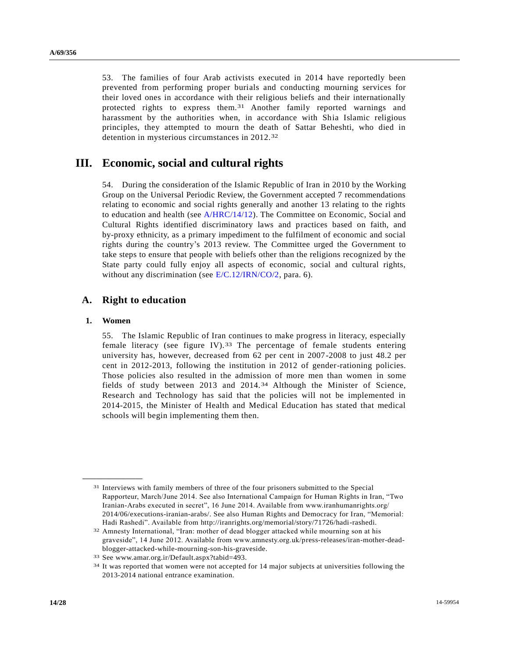53. The families of four Arab activists executed in 2014 have reportedly been prevented from performing proper burials and conducting mourning services for their loved ones in accordance with their religious beliefs and their internationally protected rights to express them.31 Another family reported warnings and harassment by the authorities when, in accordance with Shia Islamic religious principles, they attempted to mourn the death of Sattar Beheshti, who died in detention in mysterious circumstances in 2012.32

# **III. Economic, social and cultural rights**

54. During the consideration of the Islamic Republic of Iran in 2010 by the Working Group on the Universal Periodic Review, the Government accepted 7 recommendations relating to economic and social rights generally and another 13 relating to the rights to education and health (see [A/HRC/14/12\)](http://undocs.org/A/HRC/14/12). The Committee on Economic, Social and Cultural Rights identified discriminatory laws and practices based on faith, and by-proxy ethnicity, as a primary impediment to the fulfilment of economic and social rights during the country's 2013 review. The Committee urged the Government to take steps to ensure that people with beliefs other than the religions recognized by the State party could fully enjoy all aspects of economic, social and cultural rights, without any discrimination (see [E/C.12/IRN/CO/2,](http://undocs.org/E/C.12/IRN/CO/2) para. 6).

### **A. Right to education**

#### **1. Women**

**\_\_\_\_\_\_\_\_\_\_\_\_\_\_\_\_\_\_**

55. The Islamic Republic of Iran continues to make progress in literacy, especially female literacy (see figure IV).33 The percentage of female students entering university has, however, decreased from 62 per cent in 2007-2008 to just 48.2 per cent in 2012-2013, following the institution in 2012 of gender-rationing policies. Those policies also resulted in the admission of more men than women in some fields of study between 2013 and 2014.34 Although the Minister of Science, Research and Technology has said that the policies will not be implemented in 2014-2015, the Minister of Health and Medical Education has stated that medical schools will begin implementing them then.

<sup>31</sup> Interviews with family members of three of the four prisoners submitted to the Special Rapporteur, March/June 2014. See also International Campaign for Human Rights in Iran, "Two Iranian-Arabs executed in secret", 16 June 2014. Available from www.iranhumanrights.org/ 2014/06/executions-iranian-arabs/. See also Human Rights and Democracy for Iran, "Memorial: Hadi Rashedi". Available from http://iranrights.org/memorial/story/71726/hadi-rashedi.

<sup>32</sup> Amnesty International, "Iran: mother of dead blogger attacked while mourning son at his graveside", 14 June 2012. Available from www.amnesty.org.uk/press-releases/iran-mother-deadblogger-attacked-while-mourning-son-his-graveside.

<sup>33</sup> See www.amar.org.ir/Default.aspx?tabid=493.

<sup>&</sup>lt;sup>34</sup> It was reported that women were not accepted for 14 major subjects at universities following the 2013-2014 national entrance examination.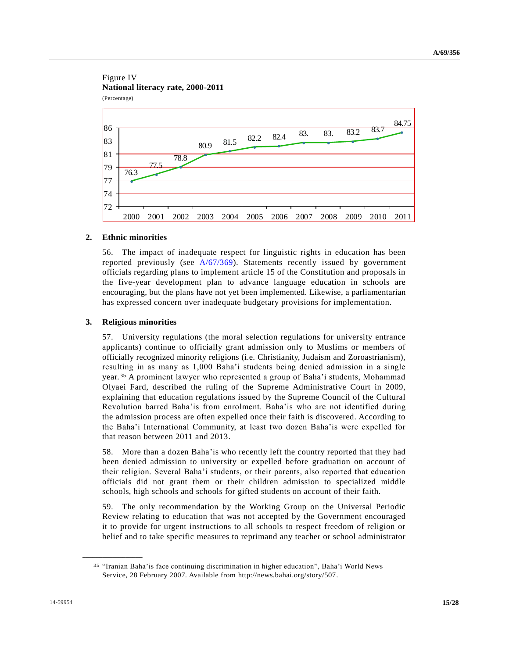#### Figure IV **National literacy rate, 2000-2011** (Percentage)



### **2. Ethnic minorities**

56. The impact of inadequate respect for linguistic rights in education has been reported previously (see [A/67/369\)](http://undocs.org/A/67/369). Statements recently issued by government officials regarding plans to implement article 15 of the Constitution and proposals in the five-year development plan to advance language education in schools are encouraging, but the plans have not yet been implemented. Likewise, a parliamentarian has expressed concern over inadequate budgetary provisions for implementation.

#### **3. Religious minorities**

57. University regulations (the moral selection regulations for university entrance applicants) continue to officially grant admission only to Muslims or members of officially recognized minority religions (i.e. Christianity, Judaism and Zoroastrianism), resulting in as many as 1,000 Baha'i students being denied admission in a single year.35 A prominent lawyer who represented a group of Baha'i students, Mohammad Olyaei Fard, described the ruling of the Supreme Administrative Court in 2009, explaining that education regulations issued by the Supreme Council of the Cultural Revolution barred Baha'is from enrolment. Baha'is who are not identified during the admission process are often expelled once their faith is discovered. According to the Baha'i International Community, at least two dozen Baha'is were expelled for that reason between 2011 and 2013.

58. More than a dozen Baha'is who recently left the country reported that they had been denied admission to university or expelled before graduation on account of their religion. Several Baha'i students, or their parents, also reported that education officials did not grant them or their children admission to specialized middle schools, high schools and schools for gifted students on account of their faith.

59. The only recommendation by the Working Group on the Universal Periodic Review relating to education that was not accepted by the Government encouraged it to provide for urgent instructions to all schools to respect freedom of religion or belief and to take specific measures to reprimand any teacher or school administrator

<sup>35</sup> "Iranian Baha'is face continuing discrimination in higher education", Baha'i World News Service, 28 February 2007. Available from http://news.bahai.org/story/507.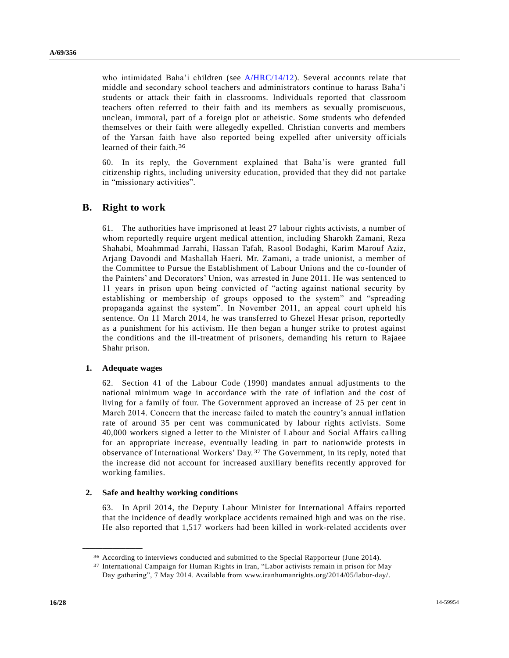who intimidated Baha'i children (see [A/HRC/14/12\)](http://undocs.org/A/HRC/14/12). Several accounts relate that middle and secondary school teachers and administrators continue to harass Baha'i students or attack their faith in classrooms. Individuals reported that classroom teachers often referred to their faith and its members as sexually promiscuous, unclean, immoral, part of a foreign plot or atheistic. Some students who defended themselves or their faith were allegedly expelled. Christian converts and members of the Yarsan faith have also reported being expelled after university officials learned of their faith.36

60. In its reply, the Government explained that Baha'is were granted full citizenship rights, including university education, provided that they did not partake in "missionary activities".

### **B. Right to work**

61. The authorities have imprisoned at least 27 labour rights activists, a number of whom reportedly require urgent medical attention, including Sharokh Zamani, Reza Shahabi, Moahmmad Jarrahi, Hassan Tafah, Rasool Bodaghi, Karim Marouf Aziz, Arjang Davoodi and Mashallah Haeri. Mr. Zamani, a trade unionist, a member of the Committee to Pursue the Establishment of Labour Unions and the co-founder of the Painters' and Decorators' Union, was arrested in June 2011. He was sentenced to 11 years in prison upon being convicted of "acting against national security by establishing or membership of groups opposed to the system" and "spreading propaganda against the system". In November 2011, an appeal court upheld his sentence. On 11 March 2014, he was transferred to Ghezel Hesar prison, reportedly as a punishment for his activism. He then began a hunger strike to protest against the conditions and the ill-treatment of prisoners, demanding his return to Rajaee Shahr prison.

#### **1. Adequate wages**

**\_\_\_\_\_\_\_\_\_\_\_\_\_\_\_\_\_\_**

62. Section 41 of the Labour Code (1990) mandates annual adjustments to the national minimum wage in accordance with the rate of inflation and the cost of living for a family of four. The Government approved an increase of 25 per cent in March 2014. Concern that the increase failed to match the country's annual inflation rate of around 35 per cent was communicated by labour rights activists. Some 40,000 workers signed a letter to the Minister of Labour and Social Affairs ca lling for an appropriate increase, eventually leading in part to nationwide protests in observance of International Workers' Day.37 The Government, in its reply, noted that the increase did not account for increased auxiliary benefits recently approved for working families.

#### **2. Safe and healthy working conditions**

63. In April 2014, the Deputy Labour Minister for International Affairs reported that the incidence of deadly workplace accidents remained high and was on the rise. He also reported that 1,517 workers had been killed in work-related accidents over

<sup>36</sup> According to interviews conducted and submitted to the Special Rapporteur (June 2014).

<sup>37</sup> International Campaign for Human Rights in Iran, "Labor activists remain in prison for May Day gathering", 7 May 2014. Available from www.iranhumanrights.org/2014/05/labor-day/.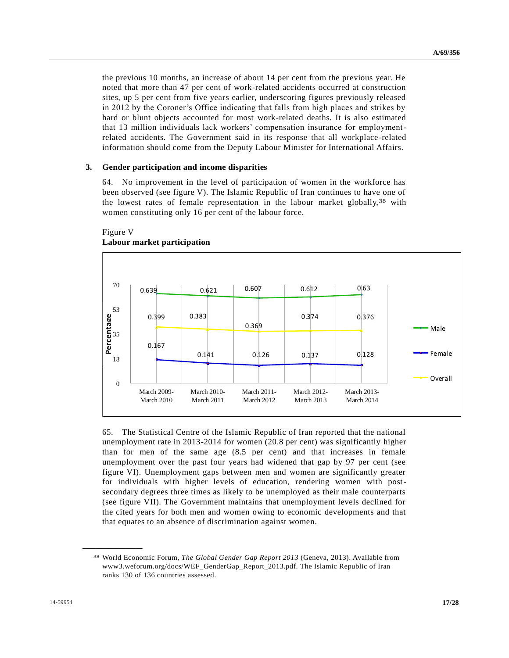the previous 10 months, an increase of about 14 per cent from the previous year. He noted that more than 47 per cent of work-related accidents occurred at construction sites, up 5 per cent from five years earlier, underscoring figures previously released in 2012 by the Coroner's Office indicating that falls from high places and strikes by hard or blunt objects accounted for most work-related deaths. It is also estimated that 13 million individuals lack workers' compensation insurance for employmentrelated accidents. The Government said in its response that all workplace -related information should come from the Deputy Labour Minister for International Affairs.

#### **3. Gender participation and income disparities**

64. No improvement in the level of participation of women in the workforce has been observed (see figure V). The Islamic Republic of Iran continues to have one of the lowest rates of female representation in the labour market globally,38 with women constituting only 16 per cent of the labour force.



### Figure V **Labour market participation**

65. The Statistical Centre of the Islamic Republic of Iran reported that the national unemployment rate in 2013-2014 for women (20.8 per cent) was significantly higher than for men of the same age (8.5 per cent) and that increases in female unemployment over the past four years had widened that gap by 97 per cent (see figure VI). Unemployment gaps between men and women are significantly greater for individuals with higher levels of education, rendering women with postsecondary degrees three times as likely to be unemployed as their male counterparts (see figure VII). The Government maintains that unemployment levels declined for the cited years for both men and women owing to economic developments and that that equates to an absence of discrimination against women.

<sup>38</sup> World Economic Forum, *The Global Gender Gap Report 2013* (Geneva, 2013). Available from www3.weforum.org/docs/WEF\_GenderGap\_Report\_2013.pdf. The Islamic Republic of Iran ranks 130 of 136 countries assessed.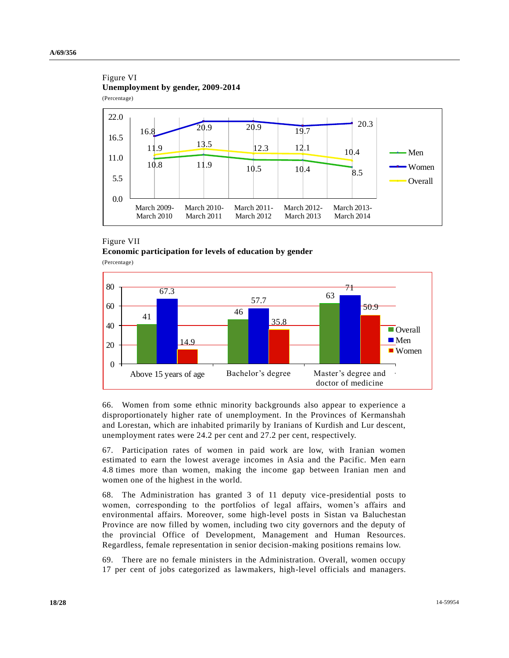### Figure VI **Unemployment by gender, 2009-2014** (Percentage)



### Figure VII **Economic participation for levels of education by gender** (Percentage)

 $\begin{array}{c|c}\n67.3 \\
41\n\end{array}$  $\begin{array}{@{}c@{\hspace{1em}}c@{\hspace{1em}}c@{\hspace{1em}}c@{\hspace{1em}}}\n \hline\n 67.3 & 57.7 & 63\n \end{array}$ 57.7 71. 14.9 35.8 50.9 0 20 40 60 80 Above 15 years of age Bachelor's degree Master's degree and doctor of medicine **Overall**  $Men$ ■ Women Bachelor's degree

66. Women from some ethnic minority backgrounds also appear to experience a disproportionately higher rate of unemployment. In the Provinces of Kermanshah and Lorestan, which are inhabited primarily by Iranians of Kurdish and Lur descent, unemployment rates were 24.2 per cent and 27.2 per cent, respectively.

67. Participation rates of women in paid work are low, with Iranian women estimated to earn the lowest average incomes in Asia and the Pacific. Men earn 4.8 times more than women, making the income gap between Iranian men and women one of the highest in the world.

68. The Administration has granted 3 of 11 deputy vice-presidential posts to women, corresponding to the portfolios of legal affairs, women's affairs and environmental affairs. Moreover, some high-level posts in Sistan va Baluchestan Province are now filled by women, including two city governors and the deputy of the provincial Office of Development, Management and Human Resources. Regardless, female representation in senior decision-making positions remains low.

69. There are no female ministers in the Administration. Overall, women occupy 17 per cent of jobs categorized as lawmakers, high-level officials and managers.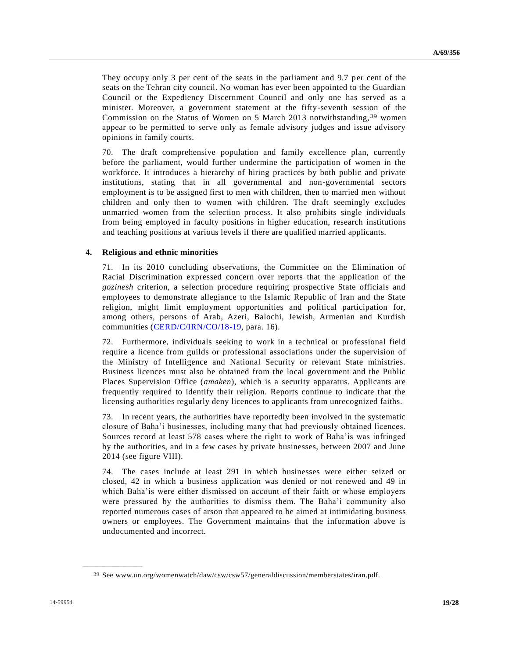They occupy only 3 per cent of the seats in the parliament and 9.7 per cent of the seats on the Tehran city council. No woman has ever been appointed to the Guardian Council or the Expediency Discernment Council and only one has served as a minister. Moreover, a government statement at the fifty-seventh session of the Commission on the Status of Women on 5 March 2013 notwithstanding, 39 women appear to be permitted to serve only as female advisory judges and issue advisory opinions in family courts.

70. The draft comprehensive population and family excellence plan, currently before the parliament, would further undermine the participation of women in the workforce. It introduces a hierarchy of hiring practices by both public and private institutions, stating that in all governmental and non-governmental sectors employment is to be assigned first to men with children, then to married men without children and only then to women with children. The draft seemingly excludes unmarried women from the selection process. It also prohibits single individuals from being employed in faculty positions in higher education, research institutions and teaching positions at various levels if there are qualified married applicants.

#### **4. Religious and ethnic minorities**

71. In its 2010 concluding observations, the Committee on the Elimination of Racial Discrimination expressed concern over reports that the application of the *gozinesh* criterion, a selection procedure requiring prospective State officials and employees to demonstrate allegiance to the Islamic Republic of Iran and the State religion, might limit employment opportunities and political participation for, among others, persons of Arab, Azeri, Balochi, Jewish, Armenian and Kurdish communities [\(CERD/C/IRN/CO/18-19,](http://undocs.org/CERD/C/IRN/CO/18) para. 16).

72. Furthermore, individuals seeking to work in a technical or professional field require a licence from guilds or professional associations under the supervision of the Ministry of Intelligence and National Security or relevant State ministries. Business licences must also be obtained from the local government and the Public Places Supervision Office (*amaken*), which is a security apparatus. Applicants are frequently required to identify their religion. Reports continue to indicate that the licensing authorities regularly deny licences to applicants from unrecognized faiths.

73. In recent years, the authorities have reportedly been involved in the systematic closure of Baha'i businesses, including many that had previously obtained licences. Sources record at least 578 cases where the right to work of Baha'is was infringed by the authorities, and in a few cases by private businesses, between 2007 and June 2014 (see figure VIII).

74. The cases include at least 291 in which businesses were either seized or closed, 42 in which a business application was denied or not renewed and 49 in which Baha'is were either dismissed on account of their faith or whose employers were pressured by the authorities to dismiss them. The Baha'i community also reported numerous cases of arson that appeared to be aimed at intimidating business owners or employees. The Government maintains that the information above is undocumented and incorrect.

<sup>39</sup> See www.un.org/womenwatch/daw/csw/csw57/generaldiscussion/memberstates/iran.pdf.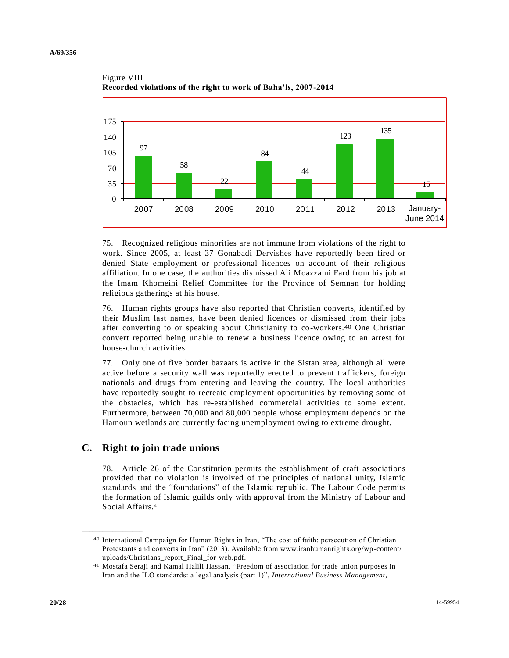

### Figure VIII **Recorded violations of the right to work of Baha'is, 2007-2014**

75. Recognized religious minorities are not immune from violations of the right to work. Since 2005, at least 37 Gonabadi Dervishes have reportedly been fired or denied State employment or professional licences on account of their religious affiliation. In one case, the authorities dismissed Ali Moazzami Fard from his job at the Imam Khomeini Relief Committee for the Province of Semnan for holding religious gatherings at his house.

76. Human rights groups have also reported that Christian converts, identified by their Muslim last names, have been denied licences or dismissed from their jobs after converting to or speaking about Christianity to co-workers.40 One Christian convert reported being unable to renew a business licence owing to an arrest for house-church activities.

77. Only one of five border bazaars is active in the Sistan area, although all were active before a security wall was reportedly erected to prevent traffickers, foreign nationals and drugs from entering and leaving the country. The local authorities have reportedly sought to recreate employment opportunities by removing some of the obstacles, which has re-established commercial activities to some extent. Furthermore, between 70,000 and 80,000 people whose employment depends on the Hamoun wetlands are currently facing unemployment owing to extreme drought.

### **C. Right to join trade unions**

**\_\_\_\_\_\_\_\_\_\_\_\_\_\_\_\_\_\_**

78. Article 26 of the Constitution permits the establishment of craft associations provided that no violation is involved of the principles of national unity, Islamic standards and the "foundations" of the Islamic republic. The Labour Code permits the formation of Islamic guilds only with approval from the Ministry of Labour and Social Affairs.<sup>41</sup>

<sup>40</sup> International Campaign for Human Rights in Iran, "The cost of faith: persecution of Christian Protestants and converts in Iran" (2013). Available from www.iranhumanrights.org/wp-content/ uploads/Christians\_report\_Final\_for-web.pdf.

<sup>41</sup> Mostafa Seraji and Kamal Halili Hassan, "Freedom of association for trade union purposes in Iran and the ILO standards: a legal analysis (part 1)", *International Business Management*,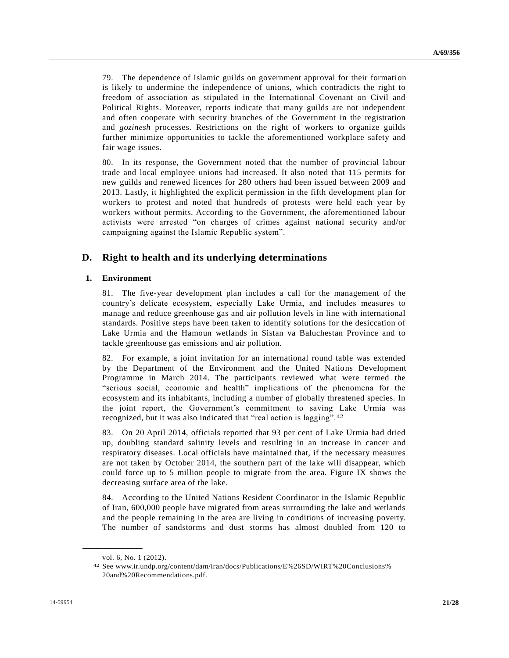79. The dependence of Islamic guilds on government approval for their formati on is likely to undermine the independence of unions, which contradicts the right to freedom of association as stipulated in the International Covenant on Civil and Political Rights. Moreover, reports indicate that many guilds are not independent and often cooperate with security branches of the Government in the registration and *gozinesh* processes. Restrictions on the right of workers to organize guilds further minimize opportunities to tackle the aforementioned workplace safety and fair wage issues.

80. In its response, the Government noted that the number of provincial labour trade and local employee unions had increased. It also noted that 115 permits for new guilds and renewed licences for 280 others had been issued between 2009 and 2013. Lastly, it highlighted the explicit permission in the fifth development plan for workers to protest and noted that hundreds of protests were held each year by workers without permits. According to the Government, the aforementioned labour activists were arrested "on charges of crimes against national security and/or campaigning against the Islamic Republic system".

### **D. Right to health and its underlying determinations**

#### **1. Environment**

81. The five-year development plan includes a call for the management of the country's delicate ecosystem, especially Lake Urmia, and includes measures to manage and reduce greenhouse gas and air pollution levels in line with international standards. Positive steps have been taken to identify solutions for the desiccation of Lake Urmia and the Hamoun wetlands in Sistan va Baluchestan Province and to tackle greenhouse gas emissions and air pollution.

82. For example, a joint invitation for an international round table was extended by the Department of the Environment and the United Nations Development Programme in March 2014. The participants reviewed what were termed the "serious social, economic and health" implications of the phenomena for the ecosystem and its inhabitants, including a number of globally threatened species. In the joint report, the Government's commitment to saving Lake Urmia was recognized, but it was also indicated that "real action is lagging".42

83. On 20 April 2014, officials reported that 93 per cent of Lake Urmia had dried up, doubling standard salinity levels and resulting in an increase in cancer and respiratory diseases. Local officials have maintained that, if the necessary measures are not taken by October 2014, the southern part of the lake will disappear, which could force up to 5 million people to migrate from the area. Figure IX shows the decreasing surface area of the lake.

84. According to the United Nations Resident Coordinator in the Islamic Republic of Iran, 600,000 people have migrated from areas surrounding the lake and wetlands and the people remaining in the area are living in conditions of increasing poverty. The number of sandstorms and dust storms has almost doubled from 120 to

vol. 6, No. 1 (2012).

<sup>42</sup> See www.ir.undp.org/content/dam/iran/docs/Publications/E%26SD/WIRT%20Conclusions% 20and%20Recommendations.pdf.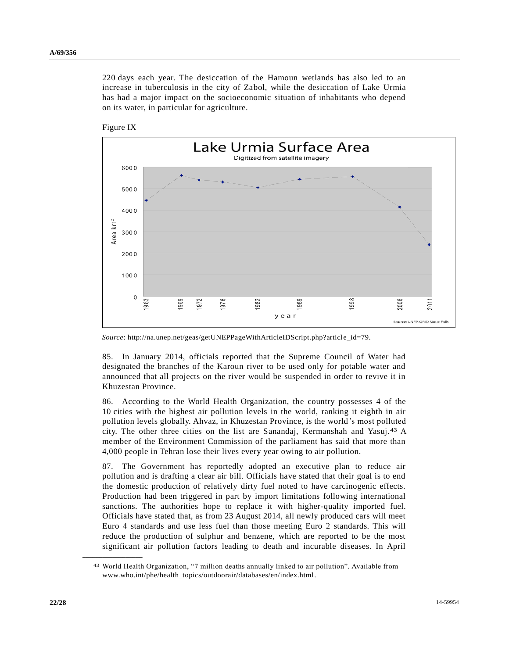220 days each year. The desiccation of the Hamoun wetlands has also led to an increase in tuberculosis in the city of Zabol, while the desiccation of Lake Urmia has had a major impact on the socioeconomic situation of inhabitants who depend on its water, in particular for agriculture.





*Source*: http://na.unep.net/geas/getUNEPPageWithArticleIDScript.php?article\_id=79.

85. In January 2014, officials reported that the Supreme Council of Water had designated the branches of the Karoun river to be used only for potable water and announced that all projects on the river would be suspended in order to revive it in Khuzestan Province.

86. According to the World Health Organization, the country possesses 4 of the 10 cities with the highest air pollution levels in the world, ranking it eighth in air pollution levels globally. Ahvaz, in Khuzestan Province, is the world's most polluted city. The other three cities on the list are Sanandaj, Kermanshah and Yasuj.43 A member of the Environment Commission of the parliament has said that more than 4,000 people in Tehran lose their lives every year owing to air pollution.

87. The Government has reportedly adopted an executive plan to reduce air pollution and is drafting a clear air bill. Officials have stated that their goal is to end the domestic production of relatively dirty fuel noted to have carcinogenic effects. Production had been triggered in part by import limitations following international sanctions. The authorities hope to replace it with higher-quality imported fuel. Officials have stated that, as from 23 August 2014, all newly produced cars will meet Euro 4 standards and use less fuel than those meeting Euro 2 standards. This will reduce the production of sulphur and benzene, which are reported to be the most significant air pollution factors leading to death and incurable diseases. In April

<sup>43</sup> World Health Organization, "7 million deaths annually linked to air pollution". Available from www.who.int/phe/health\_topics/outdoorair/databases/en/index.html.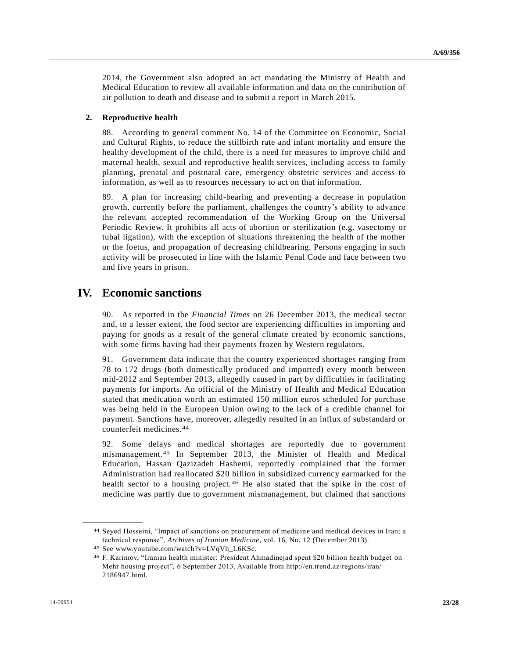2014, the Government also adopted an act mandating the Ministry of Health and Medical Education to review all available information and data on the contribution of air pollution to death and disease and to submit a report in March 2015.

#### **2. Reproductive health**

88. According to general comment No. 14 of the Committee on Economic, Social and Cultural Rights, to reduce the stillbirth rate and infant mortality and ensure the healthy development of the child, there is a need for measures to improve child and maternal health, sexual and reproductive health services, including access to family planning, prenatal and postnatal care, emergency obstetric services and access to information, as well as to resources necessary to act on that information.

89. A plan for increasing child-bearing and preventing a decrease in population growth, currently before the parliament, challenges the country's ability to advance the relevant accepted recommendation of the Working Group on the Universal Periodic Review. It prohibits all acts of abortion or sterilization (e.g. vasectomy or tubal ligation), with the exception of situations threatening the health of the mother or the foetus, and propagation of decreasing childbearing. Persons engaging in such activity will be prosecuted in line with the Islamic Penal Code and face between two and five years in prison.

## **IV. Economic sanctions**

90. As reported in the *Financial Times* on 26 December 2013, the medical sector and, to a lesser extent, the food sector are experiencing difficulties in importing and paying for goods as a result of the general climate created by economic sanctions, with some firms having had their payments frozen by Western regulators.

91. Government data indicate that the country experienced shortages ranging from 78 to 172 drugs (both domestically produced and imported) every month between mid-2012 and September 2013, allegedly caused in part by difficulties in facilitating payments for imports. An official of the Ministry of Health and Medical Education stated that medication worth an estimated 150 million euros scheduled for purchase was being held in the European Union owing to the lack of a credible channel for payment. Sanctions have, moreover, allegedly resulted in an influx of substandard or counterfeit medicines.44

92. Some delays and medical shortages are reportedly due to government mismanagement.45 In September 2013, the Minister of Health and Medical Education, Hassan Qazizadeh Hashemi, reportedly complained that the former Administration had reallocated \$20 billion in subsidized currency earmarked for the health sector to a housing project.<sup>46</sup> He also stated that the spike in the cost of medicine was partly due to government mismanagement, but claimed that sanctions

<sup>44</sup> Seyed Hosseini, "Impact of sanctions on procurement of medicine and medical devices in Iran; a technical response", *Archives of Iranian Medicine*, vol. 16, No. 12 (December 2013).

<sup>45</sup> See www.youtube.com/watch?v=LVqVh\_L6KSc.

<sup>46</sup> F. Karimov, "Iranian health minister: President Ahmadinejad spent \$20 billion health budget on Mehr housing project", 6 September 2013. Available from http://en.trend.az/regions/iran/ 2186947.html.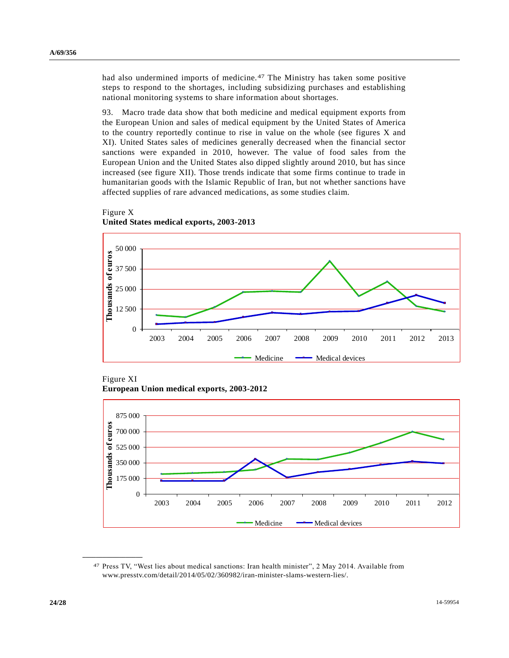had also undermined imports of medicine.47 The Ministry has taken some positive steps to respond to the shortages, including subsidizing purchases and establishing national monitoring systems to share information about shortages.

93. Macro trade data show that both medicine and medical equipment exports from the European Union and sales of medical equipment by the United States of America to the country reportedly continue to rise in value on the whole (see figures X and XI). United States sales of medicines generally decreased when the financial sector sanctions were expanded in 2010, however. The value of food sales from the European Union and the United States also dipped slightly around 2010, but has since increased (see figure XII). Those trends indicate that some firms continue to trade in humanitarian goods with the Islamic Republic of Iran, but not whether sanctions have affected supplies of rare advanced medications, as some studies claim.



**United States medical exports, 2003-2013**

Figure X

Figure XI **European Union medical exports, 2003-2012**



<sup>47</sup> Press TV, "West lies about medical sanctions: Iran health minister", 2 May 2014. Available from www.presstv.com/detail/2014/05/02/360982/iran-minister-slams-western-lies/.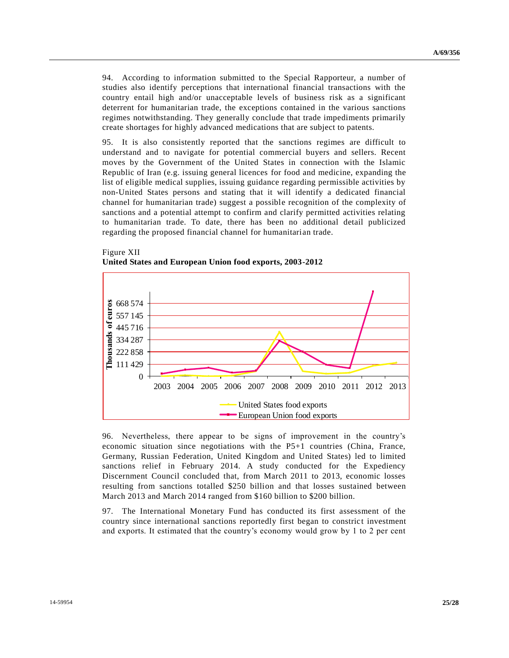94. According to information submitted to the Special Rapporteur, a number of studies also identify perceptions that international financial transactions with the country entail high and/or unacceptable levels of business risk as a significant deterrent for humanitarian trade, the exceptions contained in the various sanctions regimes notwithstanding. They generally conclude that trade impediments primarily create shortages for highly advanced medications that are subject to patents.

95. It is also consistently reported that the sanctions regimes are difficult to understand and to navigate for potential commercial buyers and sellers. Recent moves by the Government of the United States in connection with the Islamic Republic of Iran (e.g. issuing general licences for food and medicine, expanding the list of eligible medical supplies, issuing guidance regarding permissible activities by non-United States persons and stating that it will identify a dedicated financial channel for humanitarian trade) suggest a possible recognition of the complexity of sanctions and a potential attempt to confirm and clarify permitted activities relating to humanitarian trade. To date, there has been no additional detail publicized regarding the proposed financial channel for humanitarian trade.



Figure XII **United States and European Union food exports, 2003-2012**

96. Nevertheless, there appear to be signs of improvement in the country's economic situation since negotiations with the P5+1 countries (China, France, Germany, Russian Federation, United Kingdom and United States) led to limited sanctions relief in February 2014. A study conducted for the Expediency Discernment Council concluded that, from March 2011 to 2013, economic losses resulting from sanctions totalled \$250 billion and that losses sustained between March 2013 and March 2014 ranged from \$160 billion to \$200 billion.

97. The International Monetary Fund has conducted its first assessment of the country since international sanctions reportedly first began to constrict investment and exports. It estimated that the country's economy would grow by 1 to 2 per cent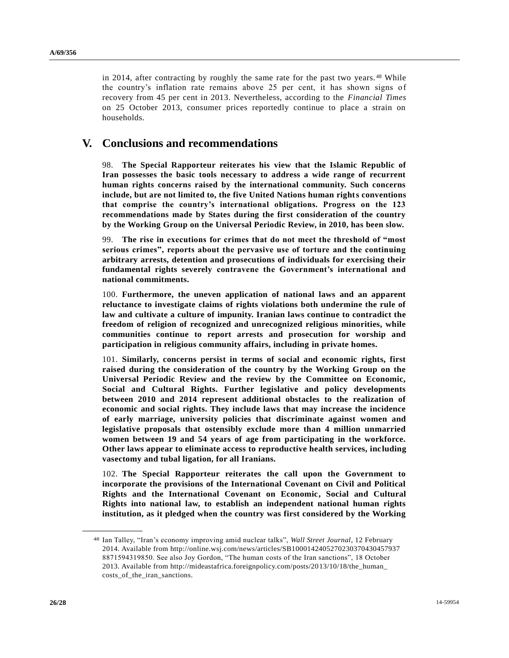in 2014, after contracting by roughly the same rate for the past two years. <sup>48</sup> While the country's inflation rate remains above 25 per cent, it has shown signs of recovery from 45 per cent in 2013. Nevertheless, according to the *Financial Times* on 25 October 2013, consumer prices reportedly continue to place a strain on households.

# **V. Conclusions and recommendations**

98. **The Special Rapporteur reiterates his view that the Islamic Republic of Iran possesses the basic tools necessary to address a wide range of recurrent human rights concerns raised by the international community. Such concerns include, but are not limited to, the five United Nations human rights conventions that comprise the country's international obligations. Progress on the 123 recommendations made by States during the first consideration of the country by the Working Group on the Universal Periodic Review, in 2010, has been slow.**

99. **The rise in executions for crimes that do not meet the threshold of "most serious crimes", reports about the pervasive use of torture and the continuing arbitrary arrests, detention and prosecutions of individuals for exercising their fundamental rights severely contravene the Government's international and national commitments.**

100. **Furthermore, the uneven application of national laws and an apparent reluctance to investigate claims of rights violations both undermine the rule of law and cultivate a culture of impunity. Iranian laws continue to contradict the freedom of religion of recognized and unrecognized religious minorities, while communities continue to report arrests and prosecution for worship and participation in religious community affairs, including in private homes.**

101. **Similarly, concerns persist in terms of social and economic rights, first raised during the consideration of the country by the Working Group on the Universal Periodic Review and the review by the Committee on Economic, Social and Cultural Rights. Further legislative and policy developments between 2010 and 2014 represent additional obstacles to the realization of economic and social rights. They include laws that may increase the incidence of early marriage, university policies that discriminate against women and legislative proposals that ostensibly exclude more than 4 million unmarried women between 19 and 54 years of age from participating in the workforce. Other laws appear to eliminate access to reproductive health services, including vasectomy and tubal ligation, for all Iranians.**

102. **The Special Rapporteur reiterates the call upon the Government to incorporate the provisions of the International Covenant on Civil and Political Rights and the International Covenant on Economic, Social and Cultural Rights into national law, to establish an independent national human rights institution, as it pledged when the country was first considered by the Working** 

<sup>48</sup> Ian Talley, "Iran's economy improving amid nuclear talks", *Wall Street Journal*, 12 February 2014. Available from http://online.wsj.com/news/articles/SB1000142405270230370430457937 8871594319850. See also Joy Gordon, "The human costs of the Iran sanctions", 18 October 2013. Available from http://mideastafrica.foreignpolicy.com/posts/2013/10/18/the\_human\_ costs\_of\_the\_iran\_sanctions.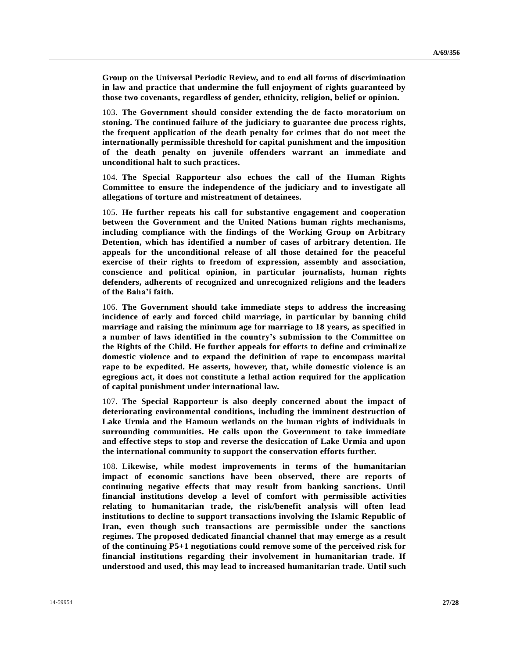**Group on the Universal Periodic Review, and to end all forms of discrimination in law and practice that undermine the full enjoyment of rights guaranteed by those two covenants, regardless of gender, ethnicity, religion, belief or opinion.**

103. **The Government should consider extending the de facto moratorium on stoning. The continued failure of the judiciary to guarantee due process rights, the frequent application of the death penalty for crimes that do not meet the internationally permissible threshold for capital punishment and the imposition of the death penalty on juvenile offenders warrant an immediate and unconditional halt to such practices.**

104. **The Special Rapporteur also echoes the call of the Human Rights Committee to ensure the independence of the judiciary and to investigate all allegations of torture and mistreatment of detainees.**

105. **He further repeats his call for substantive engagement and cooperation between the Government and the United Nations human rights mechanisms, including compliance with the findings of the Working Group on Arbitrary Detention, which has identified a number of cases of arbitrary detention. He appeals for the unconditional release of all those detained for the peaceful exercise of their rights to freedom of expression, assembly and association, conscience and political opinion, in particular journalists, human rights defenders, adherents of recognized and unrecognized religions and the leaders of the Baha'i faith.** 

106. **The Government should take immediate steps to address the increasing incidence of early and forced child marriage, in particular by banning child marriage and raising the minimum age for marriage to 18 years, as specified in a number of laws identified in the country's submission to the Committee on the Rights of the Child. He further appeals for efforts to define and criminalize domestic violence and to expand the definition of rape to encompass marital rape to be expedited. He asserts, however, that, while domestic violence is an egregious act, it does not constitute a lethal action required for the application of capital punishment under international law.**

107. **The Special Rapporteur is also deeply concerned about the impact of deteriorating environmental conditions, including the imminent destruction of Lake Urmia and the Hamoun wetlands on the human rights of individuals in surrounding communities. He calls upon the Government to take immediate and effective steps to stop and reverse the desiccation of Lake Urmia and upon the international community to support the conservation efforts further.** 

108. **Likewise, while modest improvements in terms of the humanitarian impact of economic sanctions have been observed, there are reports of continuing negative effects that may result from banking sanctions. Until financial institutions develop a level of comfort with permissible activities relating to humanitarian trade, the risk/benefit analysis will often lead institutions to decline to support transactions involving the Islamic Republic of Iran, even though such transactions are permissible under the sanctions regimes. The proposed dedicated financial channel that may emerge as a result of the continuing P5+1 negotiations could remove some of the perceived risk for financial institutions regarding their involvement in humanitarian trade. If understood and used, this may lead to increased humanitarian trade. Until such**